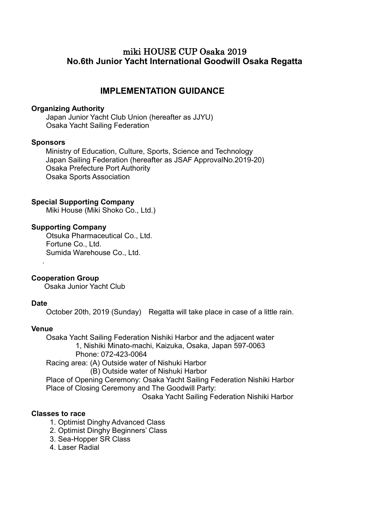## miki HOUSE CUP Osaka 2019 **No.6th Junior Yacht International Goodwill Osaka Regatta**

## **IMPLEMENTATION GUIDANCE**

#### **Organizing Authority**

Japan Junior Yacht Club Union (hereafter as JJYU) Osaka Yacht Sailing Federation

#### **Sponsors**

Ministry of Education, Culture, Sports, Science and Technology Japan Sailing Federation (hereafter as JSAF ApprovalNo.2019-20) Osaka Prefecture Port Authority Osaka Sports Association

#### **Special Supporting Company**

Miki House (Miki Shoko Co., Ltd.)

#### **Supporting Company**

Otsuka Pharmaceutical Co., Ltd. Fortune Co., Ltd. Sumida Warehouse Co., Ltd.

#### **Cooperation Group**

Osaka Junior Yacht Club

#### **Date**

.

October 20th, 2019 (Sunday) Regatta will take place in case of a little rain.

#### **Venue**

 Osaka Yacht Sailing Federation Nishiki Harbor and the adjacent water 1, Nishiki Minato-machi, Kaizuka, Osaka, Japan 597-0063 Phone: 072-423-0064 Racing area: (A) Outside water of Nishuki Harbor (B) Outside water of Nishuki Harbor

 Place of Opening Ceremony: Osaka Yacht Sailing Federation Nishiki Harbor Place of Closing Ceremony and The Goodwill Party:

Osaka Yacht Sailing Federation Nishiki Harbor

#### **Classes to race**

- 1. Optimist Dinghy Advanced Class
- 2. Optimist Dinghy Beginners' Class
- 3. Sea-Hopper SR Class
- 4. Laser Radial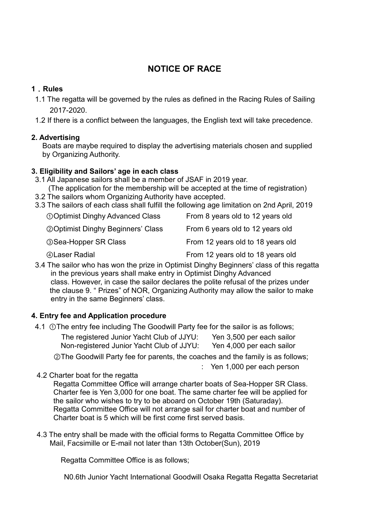## **NOTICE OF RACE**

## **1**.**Rules**

- 1.1 The regatta will be governed by the rules as defined in the Racing Rules of Sailing 2017‐2020.
- 1.2 If there is a conflict between the languages, the English text will take precedence.

## **2. Advertising**

Boats are maybe required to display the advertising materials chosen and supplied by Organizing Authority.

## **3. Eligibility and Sailors' age in each class**

- 3.1 All Japanese sailors shall be a member of JSAF in 2019 year. (The application for the membership will be accepted at the time of registration)
- 3.2 The sailors whom Organizing Authority have accepted.
- 3.3 The sailors of each class shall fulfill the following age limitation on 2nd April, 2019

| <b>OOptimist Dinghy Advanced Class</b>     | From 8 years old to 12 years old  |
|--------------------------------------------|-----------------------------------|
| <b>20 Optimist Dinghy Beginners' Class</b> | From 6 years old to 12 years old  |
| <b>3 Sea-Hopper SR Class</b>               | From 12 years old to 18 years old |
| <b>4 Laser Radial</b>                      | From 12 years old to 18 years old |

3.4 The sailor who has won the prize in Optimist Dinghy Beginners' class of this regatta in the previous years shall make entry in Optimist Dinghy Advanced class. However, in case the sailor declares the polite refusal of the prizes under the clause 9. " Prizes" of NOR, Organizing Authority may allow the sailor to make entry in the same Beginners' class.

## **4. Entry fee and Application procedure**

- 4.1 ①The entry fee including The Goodwill Party fee for the sailor is as follows; The registered Junior Yacht Club of JJYU: Yen 3,500 per each sailor Non-registered Junior Yacht Club of JJYU: Yen 4,000 per each sailor
	- ②The Goodwill Party fee for parents, the coaches and the family is as follows;

: Yen 1,000 per each person

4.2 Charter boat for the regatta

Regatta Committee Office will arrange charter boats of Sea-Hopper SR Class. Charter fee is Yen 3,000 for one boat. The same charter fee will be applied for the sailor who wishes to try to be aboard on October 19th (Saturaday). Regatta Committee Office will not arrange sail for charter boat and number of Charter boat is 5 which will be first come first served basis.

4.3 The entry shall be made with the official forms to Regatta Committee Office by Mail, Facsimille or E-mail not later than 13th October(Sun), 2019

Regatta Committee Office is as follows;

N0.6th Junior Yacht International Goodwill Osaka Regatta Regatta Secretariat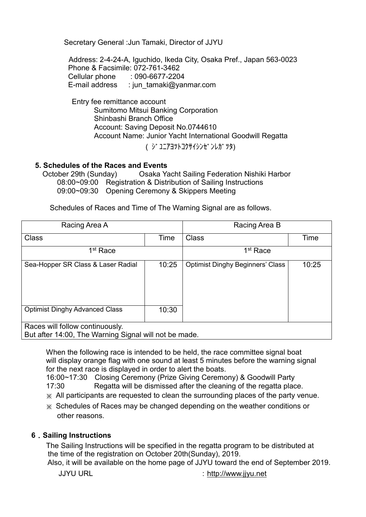Secretary General :Jun Tamaki, Director of JJYU

Address: 2-4-24-A, Iguchido, Ikeda City, Osaka Pref., Japan 563-0023 Phone & Facsimile: 072-761-3462 Cellular phone : 090-6677-2204 E-mail address : jun\_tamaki@yanmar.com

**Entry fee remittance account** Sumitomo Mitsui Banking Corporation Shinbashi Branch Office Account: Saving Deposit No.0744610 Account Name: Junior Yacht International Goodwill Regatta

( ジ ユニアヨツトコクサイシンゼンレガツタ)

# **5. Schedules of the Races and Events**

Osaka Yacht Sailing Federation Nishiki Harbor 08:00~09:00 Registration & Distribution of Sailing Instructions 09:00~09:30 Opening Ceremony & Skippers Meeting

Schedules of Races and Time of The Warning Signal are as follows.

| Racing Area A                                                                            |       | Racing Area B                           |       |  |
|------------------------------------------------------------------------------------------|-------|-----------------------------------------|-------|--|
| <b>Class</b>                                                                             | Time  | Class                                   | Time  |  |
| 1 <sup>st</sup> Race                                                                     |       | 1 <sup>st</sup> Race                    |       |  |
| Sea-Hopper SR Class & Laser Radial                                                       | 10:25 | <b>Optimist Dinghy Beginners' Class</b> | 10:25 |  |
| <b>Optimist Dinghy Advanced Class</b>                                                    | 10:30 |                                         |       |  |
| Races will follow continuously.<br>But after 14:00, The Warning Signal will not be made. |       |                                         |       |  |

When the following race is intended to be held, the race committee signal boat will display orange flag with one sound at least 5 minutes before the warning signal for the next race is displayed in order to alert the boats.

 16:00~17:30 Closing Ceremony (Prize Giving Ceremony) & Goodwill Party 17:30 Regatta will be dismissed after the cleaning of the regatta place.

※ All participants are requested to clean the surrounding places of the party venue.

※ Schedules of Races may be changed depending on the weather conditions or other reasons.

#### **6**.**Sailing Instructions**

The Sailing Instructions will be specified in the regatta program to be distributed at the time of the registration on October 20th(Sunday), 2019.

Also, it will be available on the home page of JJYU toward the end of September 2019.

JJYU URL :[http://www.jjyu.net](http://www.jjyu.net/)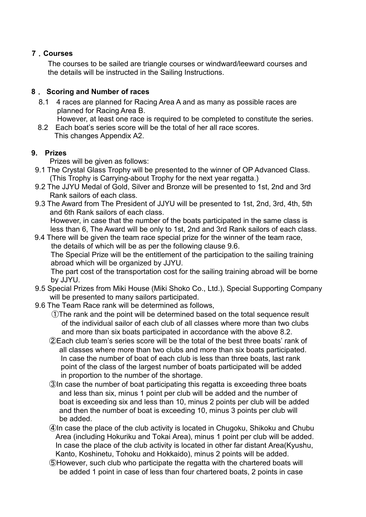## **7**.**Courses**

The courses to be sailed are triangle courses or windward/leeward courses and the details will be instructed in the Sailing Instructions.

## **8**. **Scoring and Number of races**

 8.1 4 races are planned for Racing Area A and as many as possible races are planned for Racing Area B.

However, at least one race is required to be completed to constitute the series.

8.2 Each boat's series score will be the total of her all race scores. This changes Appendix A2.

## **9. Prizes**

Prizes will be given as follows:

- 9.1 The Crystal Glass Trophy will be presented to the winner of OP Advanced Class. (This Trophy is Carrying-about Trophy for the next year regatta.)
- 9.2 The JJYU Medal of Gold, Silver and Bronze will be presented to 1st, 2nd and 3rd Rank sailors of each class.
- 9.3 The Award from The President of JJYU will be presented to 1st, 2nd, 3rd, 4th, 5th and 6th Rank sailors of each class. However, in case that the number of the boats participated in the same class is less than 6, The Award will be only to 1st, 2nd and 3rd Rank sailors of each class.
- 9.4 There will be given the team race special prize for the winner of the team race, the details of which will be as per the following clause 9.6. The Special Prize will be the entitlement of the participation to the sailing training abroad which will be organized by JJYU.

The part cost of the transportation cost for the sailing training abroad will be borne by JJYU.

- 9.5 Special Prizes from Miki House (Miki Shoko Co., Ltd.), Special Supporting Company will be presented to many sailors participated.
- 9.6 The Team Race rank will be determined as follows,
	- ①The rank and the point will be determined based on the total sequence result of the individual sailor of each club of all classes where more than two clubs and more than six boats participated in accordance with the above 8.2.
	- ②Each club team's series score will be the total of the best three boats' rank of all classes where more than two clubs and more than six boats participated. In case the number of boat of each club is less than three boats, last rank point of the class of the largest number of boats participated will be added in proportion to the number of the shortage.
	- ③In case the number of boat participating this regatta is exceeding three boats and less than six, minus 1 point per club will be added and the number of boat is exceeding six and less than 10, minus 2 points per club will be added and then the number of boat is exceeding 10, minus 3 points per club will be added.
	- ④In case the place of the club activity is located in Chugoku, Shikoku and Chubu Area (including Hokuriku and Tokai Area), minus 1 point per club will be added. In case the place of the club activity is located in other far distant Area(Kyushu, Kanto, Koshinetu, Tohoku and Hokkaido), minus 2 points will be added.
	- ⑤However, such club who participate the regatta with the chartered boats will be added 1 point in case of less than four chartered boats, 2 points in case